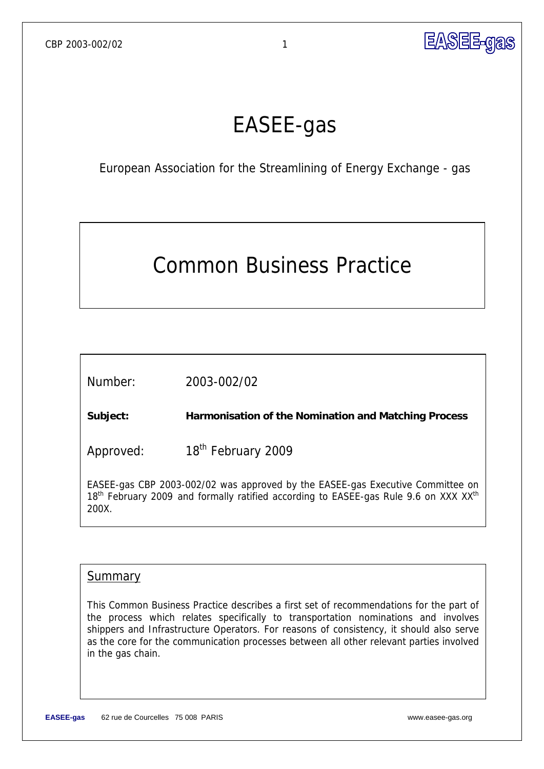

# EASEE-gas

European Association for the Streamlining of Energy Exchange - gas

# Common Business Practice

Number: 2003-002/02

**Subject: Harmonisation of the Nomination and Matching Process** 

Approved: 18<sup>th</sup> February 2009

EASEE-gas CBP 2003-002/02 was approved by the EASEE-gas Executive Committee on 18<sup>th</sup> February 2009 and formally ratified according to EASEE-gas Rule 9.6 on XXX XX<sup>th</sup> 200X.

## **Summary**

This Common Business Practice describes a first set of recommendations for the part of the process which relates specifically to transportation nominations and involves shippers and Infrastructure Operators. For reasons of consistency, it should also serve as the core for the communication processes between all other relevant parties involved in the gas chain.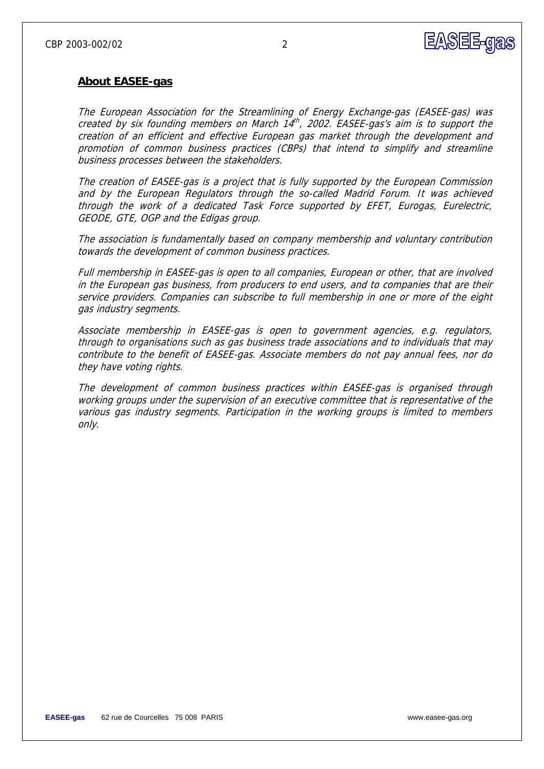

## **About EASEE-gas**

The European Association for the Streamlining of Energy Exchange-gas (EASEE-gas) was created by six founding members on March  $14^{th}$ , 2002. EASEE-gas's aim is to support the creation of an efficient and effective European gas market through the development and promotion of common business practices (CBPs) that intend to simplify and streamline business processes between the stakeholders.

The creation of EASEE-gas is a project that is fully supported by the European Commission and by the European Regulators through the so-called Madrid Forum. It was achieved through the work of a dedicated Task Force supported by EFET, Eurogas, Eurelectric, GEODE, GTE, OGP and the Edigas group.

The association is fundamentally based on company membership and voluntary contribution towards the development of common business practices.

Full membership in EASEE-gas is open to all companies, European or other, that are involved in the European gas business, from producers to end users, and to companies that are their service providers. Companies can subscribe to full membership in one or more of the eight gas industry segments.

Associate membership in EASEE-gas is open to government agencies, e.g. regulators, through to organisations such as gas business trade associations and to individuals that may contribute to the benefit of EASEE-gas. Associate members do not pay annual fees, nor do they have voting rights.

The development of common business practices within EASEE-gas is organised through working groups under the supervision of an executive committee that is representative of the various gas industry segments. Participation in the working groups is limited to members only.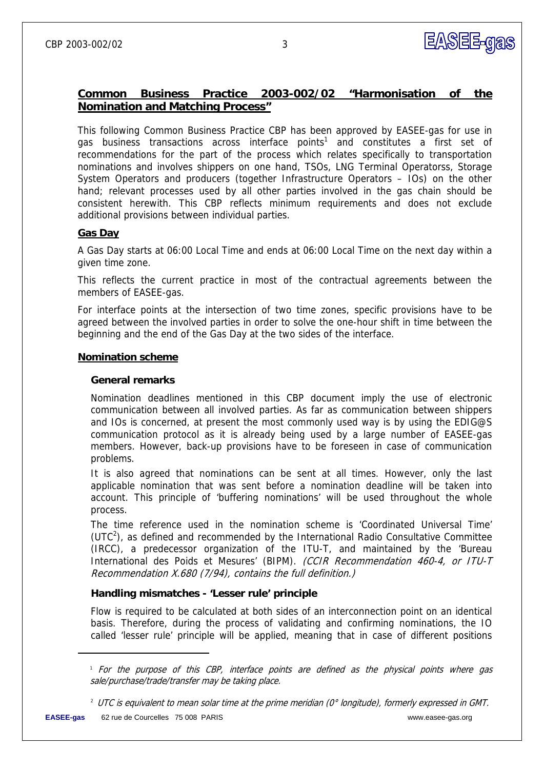## **Common Business Practice 2003-002/02 "Harmonisation of the Nomination and Matching Process"**

This following Common Business Practice CBP has been approved by EASEE-gas for use in gas business transactions across interface points<sup>1</sup> and constitutes a first set of recommendations for the part of the process which relates specifically to transportation nominations and involves shippers on one hand, TSOs, LNG Terminal Operatorss, Storage System Operators and producers (together Infrastructure Operators – IOs) on the other hand; relevant processes used by all other parties involved in the gas chain should be consistent herewith. This CBP reflects minimum requirements and does not exclude additional provisions between individual parties.

## **Gas Day**

A Gas Day starts at 06:00 Local Time and ends at 06:00 Local Time on the next day within a given time zone.

This reflects the current practice in most of the contractual agreements between the members of EASEE-gas.

For interface points at the intersection of two time zones, specific provisions have to be agreed between the involved parties in order to solve the one-hour shift in time between the beginning and the end of the Gas Day at the two sides of the interface.

#### **Nomination scheme**

#### **General remarks**

Nomination deadlines mentioned in this CBP document imply the use of electronic communication between all involved parties. As far as communication between shippers and IOs is concerned, at present the most commonly used way is by using the EDIG@S communication protocol as it is already being used by a large number of EASEE-gas members. However, back-up provisions have to be foreseen in case of communication problems.

It is also agreed that nominations can be sent at all times. However, only the last applicable nomination that was sent before a nomination deadline will be taken into account. This principle of 'buffering nominations' will be used throughout the whole process.

The time reference used in the nomination scheme is 'Coordinated Universal Time'  $(UTC<sup>2</sup>)$ , as defined and recommended by the International Radio Consultative Committee (IRCC), a predecessor organization of the ITU-T, and maintained by the 'Bureau International des Poids et Mesures' (BIPM). (CCIR Recommendation 460-4, or ITU-T Recommendation X.680 (7/94), contains the full definition.)

## **Handling mismatches - 'Lesser rule' principle**

Flow is required to be calculated at both sides of an interconnection point on an identical basis. Therefore, during the process of validating and confirming nominations, the IO called 'lesser rule' principle will be applied, meaning that in case of different positions

-

<sup>1</sup> For the purpose of this CBP, interface points are defined as the physical points where gas sale/purchase/trade/transfer may be taking place.

 $^{\rm 2}$  UTC is equivalent to mean solar time at the prime meridian (0° longitude), formerly expressed in GMT.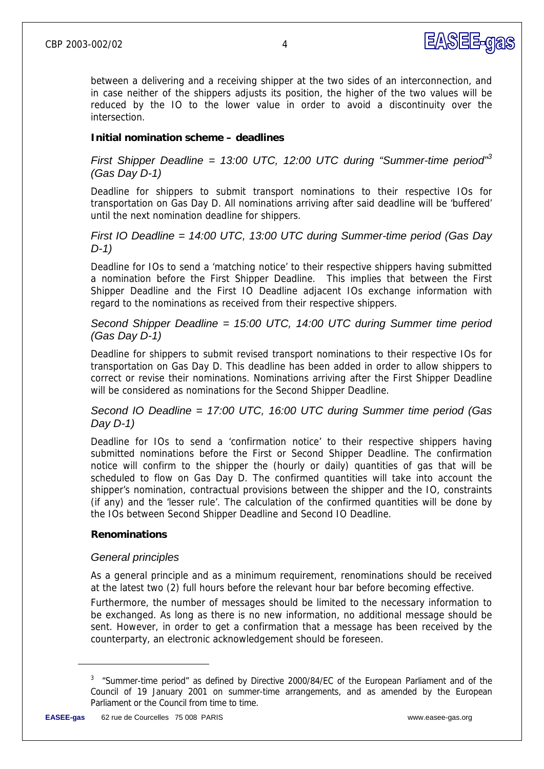

between a delivering and a receiving shipper at the two sides of an interconnection, and in case neither of the shippers adjusts its position, the higher of the two values will be reduced by the IO to the lower value in order to avoid a discontinuity over the intersection.

## **Initial nomination scheme – deadlines**

## *First Shipper Deadline = 13:00 UTC, 12:00 UTC during "Summer-time period"<sup>3</sup> (Gas Day D-1)*

Deadline for shippers to submit transport nominations to their respective IOs for transportation on Gas Day D. All nominations arriving after said deadline will be 'buffered' until the next nomination deadline for shippers.

## *First IO Deadline = 14:00 UTC, 13:00 UTC during Summer-time period (Gas Day D-1)*

Deadline for IOs to send a 'matching notice' to their respective shippers having submitted a nomination before the First Shipper Deadline. This implies that between the First Shipper Deadline and the First IO Deadline adjacent IOs exchange information with regard to the nominations as received from their respective shippers.

## *Second Shipper Deadline = 15:00 UTC, 14:00 UTC during Summer time period (Gas Day D-1)*

Deadline for shippers to submit revised transport nominations to their respective IOs for transportation on Gas Day D. This deadline has been added in order to allow shippers to correct or revise their nominations. Nominations arriving after the First Shipper Deadline will be considered as nominations for the Second Shipper Deadline.

## *Second IO Deadline = 17:00 UTC, 16:00 UTC during Summer time period (Gas Day D-1)*

Deadline for IOs to send a 'confirmation notice' to their respective shippers having submitted nominations before the First or Second Shipper Deadline. The confirmation notice will confirm to the shipper the (hourly or daily) quantities of gas that will be scheduled to flow on Gas Day D. The confirmed quantities will take into account the shipper's nomination, contractual provisions between the shipper and the IO, constraints (if any) and the 'lesser rule'. The calculation of the confirmed quantities will be done by the IOs between Second Shipper Deadline and Second IO Deadline.

## **Renominations**

## *General principles*

As a general principle and as a minimum requirement, renominations should be received at the latest two (2) full hours before the relevant hour bar before becoming effective.

Furthermore, the number of messages should be limited to the necessary information to be exchanged. As long as there is no new information, no additional message should be sent. However, in order to get a confirmation that a message has been received by the counterparty, an electronic acknowledgement should be foreseen.

-

<sup>&</sup>lt;sup>3</sup> "Summer-time period" as defined by Directive 2000/84/EC of the European Parliament and of the Council of 19 January 2001 on summer-time arrangements, and as amended by the European Parliament or the Council from time to time.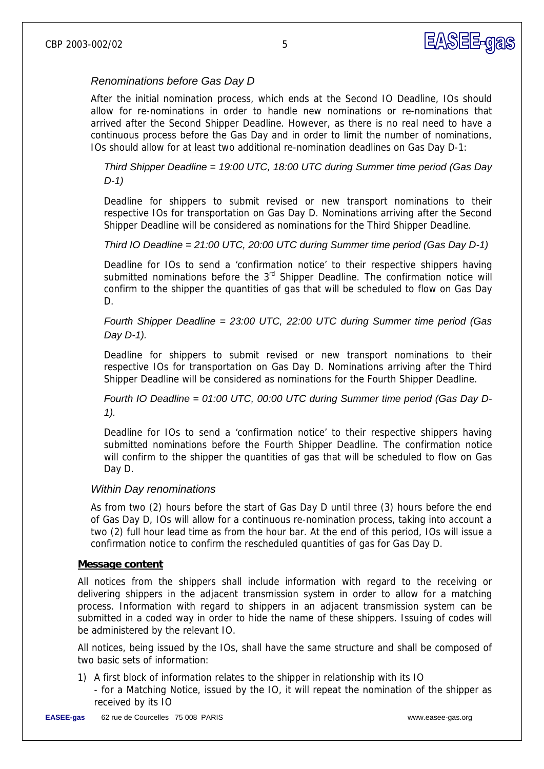## *Renominations before Gas Day D*

After the initial nomination process, which ends at the Second IO Deadline, IOs should allow for re-nominations in order to handle new nominations or re-nominations that arrived after the Second Shipper Deadline. However, as there is no real need to have a continuous process before the Gas Day and in order to limit the number of nominations, IOs should allow for at least two additional re-nomination deadlines on Gas Day D-1:

*Third Shipper Deadline = 19:00 UTC, 18:00 UTC during Summer time period (Gas Day D-1)* 

Deadline for shippers to submit revised or new transport nominations to their respective IOs for transportation on Gas Day D. Nominations arriving after the Second Shipper Deadline will be considered as nominations for the Third Shipper Deadline.

## *Third IO Deadline = 21:00 UTC, 20:00 UTC during Summer time period (Gas Day D-1)*

Deadline for IOs to send a 'confirmation notice' to their respective shippers having submitted nominations before the 3<sup>rd</sup> Shipper Deadline. The confirmation notice will confirm to the shipper the quantities of gas that will be scheduled to flow on Gas Day D.

*Fourth Shipper Deadline = 23:00 UTC, 22:00 UTC during Summer time period (Gas Day D-1).* 

Deadline for shippers to submit revised or new transport nominations to their respective IOs for transportation on Gas Day D. Nominations arriving after the Third Shipper Deadline will be considered as nominations for the Fourth Shipper Deadline.

*Fourth IO Deadline = 01:00 UTC, 00:00 UTC during Summer time period (Gas Day D-1).* 

Deadline for IOs to send a 'confirmation notice' to their respective shippers having submitted nominations before the Fourth Shipper Deadline. The confirmation notice will confirm to the shipper the quantities of gas that will be scheduled to flow on Gas Day D.

## *Within Day renominations*

As from two (2) hours before the start of Gas Day D until three (3) hours before the end of Gas Day D, IOs will allow for a continuous re-nomination process, taking into account a two (2) full hour lead time as from the hour bar. At the end of this period, IOs will issue a confirmation notice to confirm the rescheduled quantities of gas for Gas Day D.

#### **Message content**

All notices from the shippers shall include information with regard to the receiving or delivering shippers in the adjacent transmission system in order to allow for a matching process. Information with regard to shippers in an adjacent transmission system can be submitted in a coded way in order to hide the name of these shippers. Issuing of codes will be administered by the relevant IO.

All notices, being issued by the IOs, shall have the same structure and shall be composed of two basic sets of information:

1) A first block of information relates to the shipper in relationship with its IO - for a Matching Notice, issued by the IO, it will repeat the nomination of the shipper as received by its IO